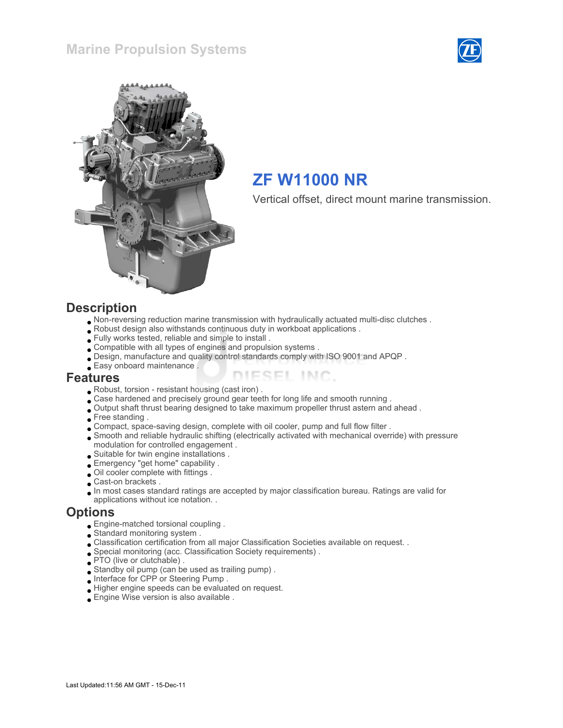



# ZF W11000 NR

Vertical offset, direct mount marine transmission.

#### **Description**

- Non-reversing reduction marine transmission with hydraulically actuated multi-disc clutches .
- Robust design also withstands continuous duty in workboat applications .
- Fully works tested, reliable and simple to install .
- Compatible with all types of engines and propulsion systems .
- Design, manufacture and quality control standards comply with ISO 9001 and APQP .
- Easy onboard maintenance .

#### Features

- Robust, torsion resistant housing (cast iron) .
- Case hardened and precisely ground gear teeth for long life and smooth running .
- Output shaft thrust bearing designed to take maximum propeller thrust astern and ahead .
- Free standing .
- Compact, space-saving design, complete with oil cooler, pump and full flow filter .
- Smooth and reliable hydraulic shifting (electrically activated with mechanical override) with pressure modulation for controlled engagement .

ESEL INC.

- Suitable for twin engine installations .
- Emergency "get home" capability .
- Oil cooler complete with fittings .
- Cast-on brackets .
- In most cases standard ratings are accepted by major classification bureau. Ratings are valid for
- applications without ice notation. .

#### **Options**

- Engine-matched torsional coupling .
- Standard monitoring system .
- Classification certification from all major Classification Societies available on request. .
- Special monitoring (acc. Classification Society requirements) .
- PTO (live or clutchable).
- Standby oil pump (can be used as trailing pump) .
- Interface for CPP or Steering Pump .
- Higher engine speeds can be evaluated on request.
- Engine Wise version is also available .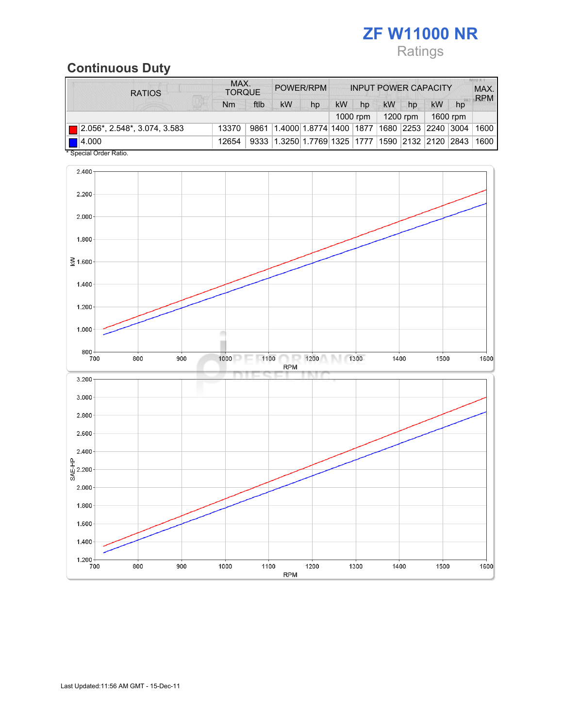# ZF W11000 NR Ratings

## Continuous Duty

| <b>RATIOS</b>                            | MAX.<br><b>TORQUE</b> |      | POWER/RPM                            |                          | <b>INPUT POWER CAPACITY</b> |    |                      |    | MAX.<br><b>RPM</b>     |    |      |
|------------------------------------------|-----------------------|------|--------------------------------------|--------------------------|-----------------------------|----|----------------------|----|------------------------|----|------|
|                                          | Nm                    | ftlb | <b>kW</b>                            | hp                       | kW                          | hp | kW                   | hp | <b>kW</b>              | hp |      |
|                                          |                       |      |                                      |                          |                             |    | 1200 rpm<br>1000 rpm |    | 1600 rpm               |    |      |
| $\boxed{ }$ 2.056*, 2.548*, 3.074, 3.583 | 13370                 | 9861 |                                      | 1.4000 1.8774 1400  1877 |                             |    |                      |    | 1680  2253  2240  3004 |    | 1600 |
| $\blacksquare$ 4.000<br>.                | 12654                 | 9333 | $\mid$ 1.3250   1.7769   1325   1777 |                          |                             |    |                      |    | 1590 2132 2120 2843    |    | 1600 |

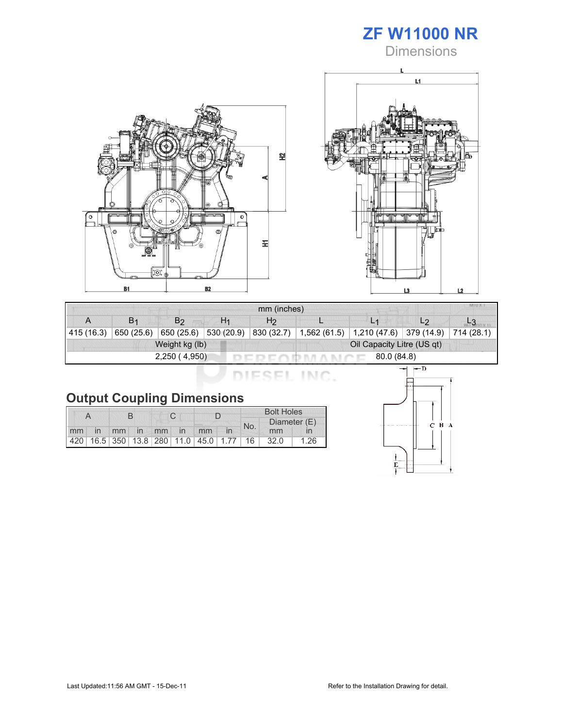

**Dimensions** 





| mm (inches) |                       |                |                |                            |              |                       |                |            |  |
|-------------|-----------------------|----------------|----------------|----------------------------|--------------|-----------------------|----------------|------------|--|
|             | <b>B</b> <sub>1</sub> | B <sub>2</sub> | H <sub>1</sub> | H <sub>2</sub>             |              |                       | L <sub>2</sub> |            |  |
| 415 (16.3)  | 650 (25.6)            | 650 $(25.6)$   | 530(20.9)      | 830 (32.7)                 | 1,562 (61.5) | 1,210(47.6) 379(14.9) |                | 714 (28.1) |  |
|             |                       | Weight kg (lb) |                | Oil Capacity Litre (US qt) |              |                       |                |            |  |
|             |                       | 2,250(4,950)   |                | 80.0 (84.8)                |              |                       |                |            |  |

DIESEL INC.

|  |  | <b>Output Coupling Dimensions</b> |
|--|--|-----------------------------------|
|--|--|-----------------------------------|

|    |    |  |             |  |  |                                         |  | <b>Bolt Holes</b> |      |      |  |
|----|----|--|-------------|--|--|-----------------------------------------|--|-------------------|------|------|--|
|    |    |  | No.         |  |  |                                         |  | Diameter (E)      |      |      |  |
| mm | in |  | mm in mm in |  |  | mm                                      |  |                   | mm   |      |  |
|    |    |  |             |  |  | 420 16.5 350 13.8 280 11.0 45.0 1.77 16 |  |                   | 32.0 | 1.26 |  |